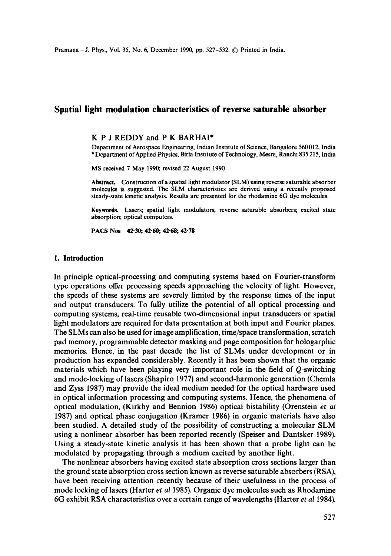# **Spatial light modulation characteristics of reverse saturable absorber**

#### K P J REDDY and P K BARHAI\*

Department of Aerospace Engineering, Indian Institute of Science, Bangalore 560 012, India \* Department of Applied Physics, Birla Institute of Technology, Mesra, Ranebi 835 215, India

MS received 7 May 1990, revised 22 August 1990

Abstract. Construction of a spatial light modulator (SLM) using reverse saturable absorber molecules is suggested. The SLM characteristics are derived using a recently proposed steady-state kinetic analysis. Results are presented for the rhodamine 6G dye molecules.

Keywords. Lasers; spatial light modulators; reverse saturable absorbers; excited state absorption; optical computers.

**PACS Nos 42.30; 42.60; 42.68; 42-78** 

#### **1. Introduction**

In principle optical-processing and computing systems based on Fourier-transform type operations offer processing speeds approaching the velocity of light. However, the speeds of these systems are severely limited by the response times of the input and output transducers. To fully utilize the potential of all optical processing and computing systems, real-time reusable two-dimensional input transducers or spatial light modulators are required for data presentation at both input and Fourier planes. The SLMs can also be used for image amplification, time/space transformation, scratch pad memory, programmable detector masking and page composition for hologarphic memories. Hence, in the past decade the list of SLMs under development or in production has expanded considerably. Recently it has been shown that the organic materials which have been playing very important role in the field of Q-switching and mode-locking of lasers (Shapiro 1977) and second-harmonic generation (Chemla and Zyss 1987) may provide the ideal medium needed for the optical hardware used in optical information processing and computing systems. Hence, the phenomena of optical modulation, (Kirkby and Bennion 1986) optical bistability (Orenstein *et al*  1987) and optical phase conjugation (Kramer 1986) in organic materials have also been studied. A detailed study of the possibility of constructing a molecular SLM using a nonlinear absorber has been reported recently (Speiser and Dantsker 1989). Using a steady-state kinetic analysis it has been shown that a probe light can be modulated by propagating through a medium excited by another light.

The nonlinear absorbers having excited state absorption cross sections larger than the ground state absorption cross section known as reverse saturable absorbers (RSA), have been receiving attention recently because of their usefulness in the process of mode locking of lasers (Harter *et al* 1985). Organic dye molecules such as Rhodamine 6G exhibit RSA characteristics over a certain range of wavelengths (Harter *et al* 1984).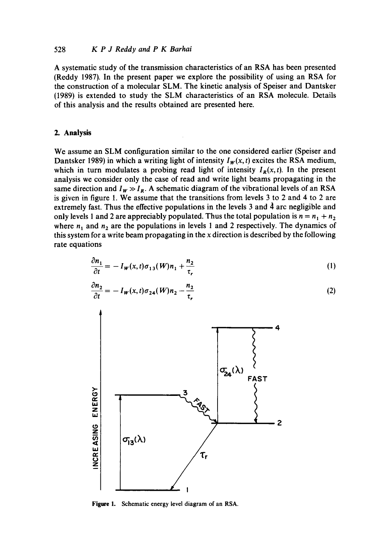### 528 *K P J Reddy and P K Barhai*

A systematic study of the transmission characteristics of an RSA has been presented (Reddy 1987). In the present paper we explore the possibility of using an RSA for the construction of a molecular SLM. The kinetic analysis of Speiser and Dantsker (1989) is extended to study the SLM characteristics of an RSA molecule. Details of this analysis and the results obtained are presented here.

### **2. Analysis**

We assume an SLM configuration similar to the one considered earlier (Speiser and Dantsker 1989) in which a writing light of intensity  $I_w(x, t)$  excites the RSA medium, which in turn modulates a probing read light of intensity  $I_R(x, t)$ . In the present analysis we consider only the case of read and write light beams propagating in the same direction and  $I_w \gg I_R$ . A schematic diagram of the vibrational levels of an RSA is given in figure 1. We assume that the transitions from levels 3 to 2 and 4 to 2 are extremely fast. Thus the effective populations in the levels  $3$  and  $\hat{4}$  arc negligible and only levels 1 and 2 are appreciably populated. Thus the total population is  $n = n_1 + n_2$ where  $n_1$  and  $n_2$  are the populations in levels 1 and 2 respectively. The dynamics of this system for a write beam propagating in the x direction is described by the following rate equations

$$
\frac{\partial n_1}{\partial t} = -I_W(x, t)\sigma_{13}(W)n_1 + \frac{n_2}{\tau_r} \tag{1}
$$

$$
\frac{\partial n_2}{\partial t} = -I_W(x, t)\sigma_{24}(W)n_2 - \frac{n_2}{\tau_r}
$$
\n(2)



**Figure** 1. Schematic energy level diagram of an RSA.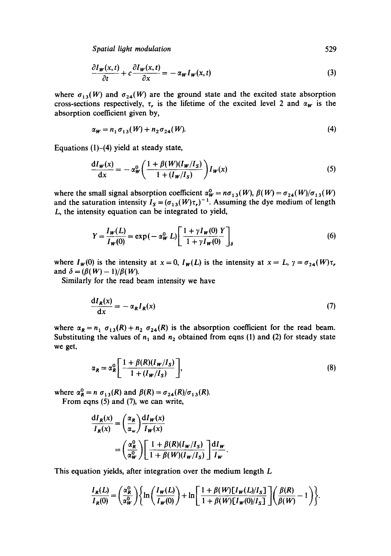*Spatial light modulation* 529

$$
\frac{\partial I_{\mathbf{w}}(x,t)}{\partial t} + c \frac{\partial I_{\mathbf{w}}(x,t)}{\partial x} = -\alpha_{\mathbf{w}} I_{\mathbf{w}}(x,t) \tag{3}
$$

where  $\sigma_{13}(W)$  and  $\sigma_{24}(W)$  are the ground state and the excited state absorption cross-sections respectively,  $\tau$ , is the lifetime of the excited level 2 and  $\alpha_W$  is the absorption coefficient given by,

$$
\alpha_W = n_1 \sigma_{13}(W) + n_2 \sigma_{24}(W). \tag{4}
$$

Equations  $(1)$ – $(4)$  yield at steady state,

$$
\frac{dI_W(x)}{dx} = -\alpha_W^0 \left( \frac{1 + \beta(W)(I_W/I_S)}{1 + (I_W/I_S)} \right) I_W(x) \tag{5}
$$

where the small signal absorption coefficient  $\alpha_W^0 = n\sigma_{13}(W)$ ,  $\beta(W) = \sigma_{24}(W)/\sigma_{13}(W)$ and the saturation intensity  $I_s = (\sigma_{13}(W)\tau_r)^{-1}$ . Assuming the dye medium of length L, the intensity equation can be integrated to yield,

$$
Y = \frac{I_W(L)}{I_W(0)} = \exp(-\alpha_W^0 L) \left[ \frac{1 + \gamma I_W(0)}{1 + \gamma I_W(0)} \right]_s
$$
 (6)

where  $I_w(0)$  is the intensity at  $x = 0$ ,  $I_w(L)$  is the intensity at  $x = L$ ,  $\gamma = \sigma_{24}(W)\tau_r$ , and  $\delta = (\beta(W) - 1)/\beta(W)$ .

Similarly for the read beam intensity we have

$$
\frac{dI_R(x)}{dx} = -\alpha_R I_R(x) \tag{7}
$$

where  $\alpha_R = n_1 \sigma_{13}(R) + n_2 \sigma_{24}(R)$  is the absorption coefficient for the read beam. Substituting the values of  $n_1$  and  $n_2$  obtained from eqns (1) and (2) for steady state we get,

$$
\alpha_R = \alpha_R^0 \left[ \frac{1 + \beta(R)(I_W/I_S)}{1 + (I_W/I_S)} \right],\tag{8}
$$

where  $\alpha_R^0 = n \sigma_{13}(R)$  and  $\beta(R) = \sigma_{24}(R)/\sigma_{13}(R)$ .

From eqns (5) and (7), we can write,

$$
\frac{dI_R(x)}{I_R(x)} = \left(\frac{\alpha_R}{\alpha_w}\right) \frac{dI_W(x)}{I_W(x)} \n= \left(\frac{\alpha_R^0}{\alpha_W^0}\right) \left[\frac{1+\beta(R)(I_W/I_S)}{1+\beta(W)(I_W/I_S)}\right] \frac{dI_W}{I_W}.
$$

This equation yields, after integration over the medium length L

$$
\frac{I_R(L)}{I_R(0)} = \left(\frac{\alpha_R^0}{\alpha_W^0}\right) \left\{ \ln\left(\frac{I_W(L)}{I_W(0)}\right) + \ln\left[\frac{1+\beta(W)[I_W(L)/I_S]}{1+\beta(W)[I_W(0)/I_S]}\right] \left(\frac{\beta(R)}{\beta(W)} - 1\right) \right\}.
$$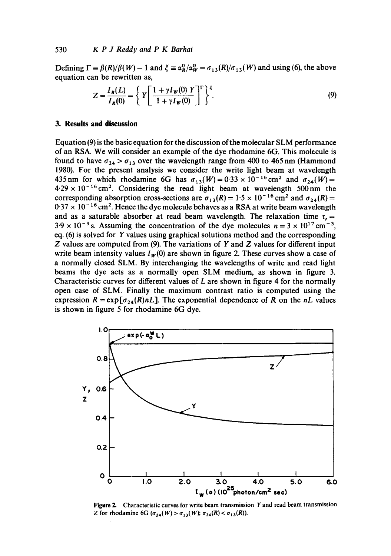Defining  $\Gamma = \beta(R)/\beta(W) - 1$  and  $\xi = \alpha_R^0/\alpha_W^0 = \sigma_{1,3}(R)/\sigma_{1,3}(W)$  and using (6), the above equation can be rewritten as,

$$
Z = \frac{I_R(L)}{I_R(0)} = \left\{ Y \left[ \frac{1 + \gamma I_W(0) Y}{1 + \gamma I_W(0)} \right]^r \right\}^{\xi}.
$$
\n
$$
(9)
$$

#### **3. Results and discussion**

Equation (9) is the basic equation for the discussion of the molecular SLM performance of an RSA. We will consider an example of the dye rhodamine 6G. This molecule is found to have  $\sigma_{24} > \sigma_{13}$  over the wavelength range from 400 to 465 nm (Hammond 1980). For the present analysis we consider the write light beam at wavelength 435 nm for which rhodamine 6G has  $\sigma_{13}(W) = 0.33 \times 10^{-16}$  cm<sup>2</sup> and  $\sigma_{24}(W) =$  $4.29 \times 10^{-16}$  cm<sup>2</sup>. Considering the read light beam at wavelength 500 nm the corresponding absorption cross-sections are  $\sigma_{13}(R) = 1.5 \times 10^{-16}$  cm<sup>2</sup> and  $\sigma_{24}(R) =$  $0.37 \times 10^{-16}$  cm<sup>2</sup>. Hence the dye molecule behaves as a RSA at write beam wavelength and as a saturable absorber at read beam wavelength. The relaxation time  $\tau_r =$  $3.9 \times 10^{-9}$  s. Assuming the concentration of the dye molecules  $n = 3 \times 10^{17}$  cm<sup>-3</sup>, eq. (6) is solved for Y values using graphical solutions method and the corresponding  $Z$  values are computed from (9). The variations of  $Y$  and  $Z$  values for different input write beam intensity values  $I_w(0)$  are shown in figure 2. These curves show a case of a normally closed SLM. By interchanging the wavelengths of write and read light beams the dye acts as a normally open SLM medium, as shown in figure 3. Characteristic curves for different values of L are shown in figure 4 for the normally open case of SLM. Finally the maximum contrast ratio is computed using the expression  $R = \exp[\sigma_{24}(R)nL]$ . The exponential dependence of R on the *nL* values is shown in figure 5 for rhodamine 6G dye.



**Figure** 2. Characteristic curves for write beam transmission Y and read beam transmission Z for rhodamine 6G ( $\sigma_{24}(W) > \sigma_{13}(W)$ ;  $\sigma_{24}(R) < \sigma_{13}(R)$ ).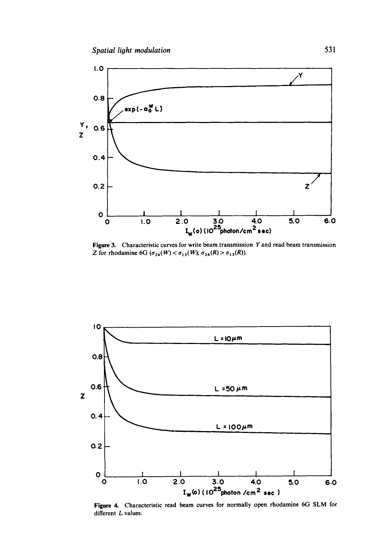

**Figure 3.**  Characteristic curves for write beam transmission Y and read beam transmission Z for rhodamine 6G ( $\sigma_{24}(W) < \sigma_{13}(W)$ ;  $\sigma_{24}(R) > \sigma_{13}(R)$ ).



**Figure 4.**  Characteristic read beam curves for normally open rhodamine 6G SLM for different L values.